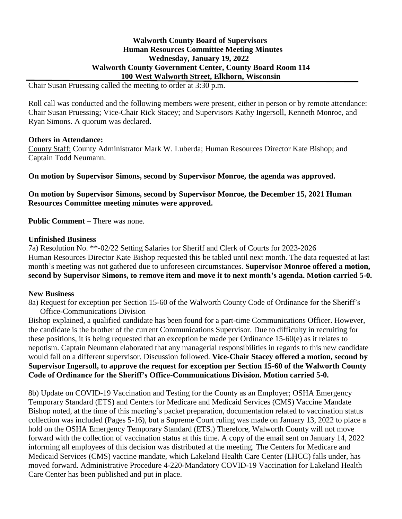# **Walworth County Board of Supervisors Human Resources Committee Meeting Minutes Wednesday, January 19, 2022 Walworth County Government Center, County Board Room 114 100 West Walworth Street, Elkhorn, Wisconsin**

Chair Susan Pruessing called the meeting to order at 3:30 p.m.

Roll call was conducted and the following members were present, either in person or by remote attendance: Chair Susan Pruessing; Vice-Chair Rick Stacey; and Supervisors Kathy Ingersoll, Kenneth Monroe, and Ryan Simons. A quorum was declared.

### **Others in Attendance:**

County Staff: County Administrator Mark W. Luberda; Human Resources Director Kate Bishop; and Captain Todd Neumann.

**On motion by Supervisor Simons, second by Supervisor Monroe, the agenda was approved.**

**On motion by Supervisor Simons, second by Supervisor Monroe, the December 15, 2021 Human Resources Committee meeting minutes were approved.**

**Public Comment –** There was none.

## **Unfinished Business**

7a) Resolution No. \*\*-02/22 Setting Salaries for Sheriff and Clerk of Courts for 2023-2026 Human Resources Director Kate Bishop requested this be tabled until next month. The data requested at last month's meeting was not gathered due to unforeseen circumstances. **Supervisor Monroe offered a motion, second by Supervisor Simons, to remove item and move it to next month's agenda. Motion carried 5-0.**

# **New Business**

8a) Request for exception per Section 15-60 of the Walworth County Code of Ordinance for the Sheriff's Office-Communications Division

Bishop explained, a qualified candidate has been found for a part-time Communications Officer. However, the candidate is the brother of the current Communications Supervisor. Due to difficulty in recruiting for these positions, it is being requested that an exception be made per Ordinance 15-60(e) as it relates to nepotism. Captain Neumann elaborated that any managerial responsibilities in regards to this new candidate would fall on a different supervisor. Discussion followed. **Vice-Chair Stacey offered a motion, second by Supervisor Ingersoll, to approve the request for exception per Section 15-60 of the Walworth County Code of Ordinance for the Sheriff's Office-Communications Division. Motion carried 5-0.**

8b) Update on COVID-19 Vaccination and Testing for the County as an Employer; OSHA Emergency Temporary Standard (ETS) and Centers for Medicare and Medicaid Services (CMS) Vaccine Mandate Bishop noted, at the time of this meeting's packet preparation, documentation related to vaccination status collection was included (Pages 5-16), but a Supreme Court ruling was made on January 13, 2022 to place a hold on the OSHA Emergency Temporary Standard (ETS.) Therefore, Walworth County will not move forward with the collection of vaccination status at this time. A copy of the email sent on January 14, 2022 informing all employees of this decision was distributed at the meeting. The Centers for Medicare and Medicaid Services (CMS) vaccine mandate, which Lakeland Health Care Center (LHCC) falls under, has moved forward. Administrative Procedure 4-220-Mandatory COVID-19 Vaccination for Lakeland Health Care Center has been published and put in place.